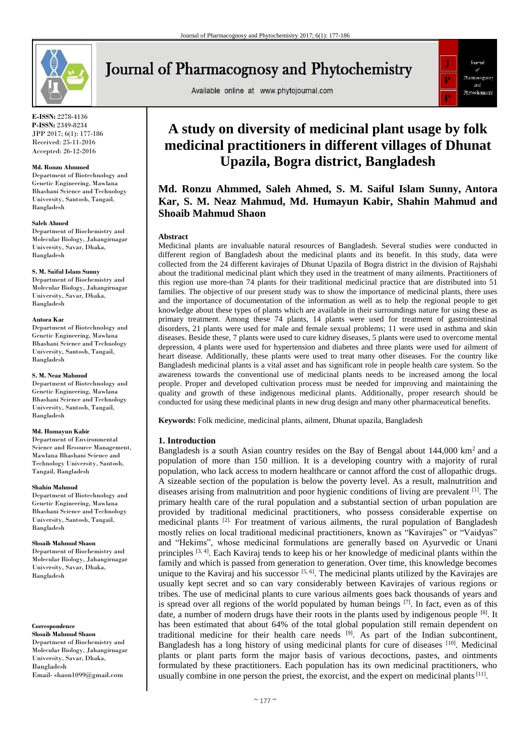

**E-ISSN:** 2278-4136 **P-ISSN:** 2349-8234 JPP 2017; 6(1): 177-186 Received: 25-11-2016 Accepted: 26-12-2016

### **Md. Ronzu Ahmmed**

Department of Biotechnology and Genetic Engineering, Mawlana Bhashani Science and Technology University, Santosh, Tangail, Bangladesh

### **Saleh Ahmed**

Department of Biochemistry and Molecular Biology, Jahangirnagar University, Savar, Dhaka, Bangladesh

#### **S. M. Saiful Islam Sunny**

Department of Biochemistry and Molecular Biology, Jahangirnagar University, Savar, Dhaka, Bangladesh

### **Antora Kar**

Department of Biotechnology and Genetic Engineering, Mawlana Bhashani Science and Technology University, Santosh, Tangail, Bangladesh

### **S. M. Neaz Mahmud**

Department of Biotechnology and Genetic Engineering, Mawlana Bhashani Science and Technology University, Santosh, Tangail, Bangladesh

### **Md. Humayun Kabir**

Department of Environmental Science and Resource Management. Mawlana Bhashani Science and Technology University, Santosh, Tangail, Bangladesh

### **Shahin Mahmud**

Department of Biotechnology and Genetic Engineering, Mawlana Bhashani Science and Technology University, Santosh, Tangail, Bangladesh

### **Shoaib Mahmud Shaon**

Department of Biochemistry and Molecular Biology, Jahangirnagar University, Savar, Dhaka, Bangladesh

**Correspondence Shoaib Mahmud Shaon** Department of Biochemistry and Molecular Biology, Jahangirnagar University, Savar, Dhaka, Bangladesh Email- shaon1099@gmail.com

# **Journal of Pharmacognosy and Phytochemistry**

Available online at www.phytojournal.com



Journal

Pharmacognesy and

Phytochemistr

# **Upazila, Bogra district, Bangladesh Md. Ronzu Ahmmed, Saleh Ahmed, S. M. Saiful Islam Sunny, Antora Kar, S. M. Neaz Mahmud, Md. Humayun Kabir, Shahin Mahmud and**

# **Abstract**

**Shoaib Mahmud Shaon**

Medicinal plants are invaluable natural resources of Bangladesh. Several studies were conducted in different region of Bangladesh about the medicinal plants and its benefit. In this study, data were collected from the 24 different kavirajes of Dhunat Upazila of Bogra district in the division of Rajshahi about the traditional medicinal plant which they used in the treatment of many ailments. Practitioners of this region use more-than 74 plants for their traditional medicinal practice that are distributed into 51 families. The objective of our present study was to show the importance of medicinal plants, there uses and the importance of documentation of the information as well as to help the regional people to get knowledge about these types of plants which are available in their surroundings nature for using these as primary treatment. Among these 74 plants, 14 plants were used for treatment of gastrointestinal disorders, 21 plants were used for male and female sexual problems; 11 were used in asthma and skin diseases. Beside these, 7 plants were used to cure kidney diseases, 5 plants were used to overcome mental depression, 4 plants were used for hypertension and diabetes and three plants were used for ailment of heart disease. Additionally, these plants were used to treat many other diseases. For the country like Bangladesh medicinal plants is a vital asset and has significant role in people health care system. So the awareness towards the conventional use of medicinal plants needs to be increased among the local people. Proper and developed cultivation process must be needed for improving and maintaining the quality and growth of these indigenous medicinal plants. Additionally, proper research should be conducted for using these medicinal plants in new drug design and many other pharmaceutical benefits.

**Keywords:** Folk medicine, medicinal plants, ailment, Dhunat upazila, Bangladesh

### **1. Introduction**

Bangladesh is a south Asian country resides on the Bay of Bengal about  $144,000 \text{ km}^2$  and a population of more than 150 million. It is a developing country with a majority of rural population, who lack access to modern healthcare or cannot afford the cost of allopathic drugs. A sizeable section of the population is below the poverty level. As a result, malnutrition and diseases arising from malnutrition and poor hygienic conditions of living are prevalent [1]. The primary health care of the rural population and a substantial section of urban population are provided by traditional medicinal practitioners, who possess considerable expertise on medicinal plants [2]. For treatment of various ailments, the rural population of Bangladesh mostly relies on local traditional medicinal practitioners, known as "Kavirajes" or "Vaidyas" and "Hekims", whose medicinal formulations are generally based on Ayurvedic or Unani principles <sup>[3, 4]</sup>. Each Kaviraj tends to keep his or her knowledge of medicinal plants within the family and which is passed from generation to generation. Over time, this knowledge becomes unique to the Kaviraj and his successor  $[5, 6]$ . The medicinal plants utilized by the Kavirajes are usually kept secret and so can vary considerably between Kavirajes of various regions or tribes. The use of medicinal plants to cure various ailments goes back thousands of years and is spread over all regions of the world populated by human beings  $[7]$ . In fact, even as of this date, a number of modern drugs have their roots in the plants used by indigenous people  $^{[8]}$ . It has been estimated that about 64% of the total global population still remain dependent on traditional medicine for their health care needs [9]. As part of the Indian subcontinent, Bangladesh has a long history of using medicinal plants for cure of diseases [10]. Medicinal plants or plant parts form the major basis of various decoctions, pastes, and ointments formulated by these practitioners. Each population has its own medicinal practitioners, who usually combine in one person the priest, the exorcist, and the expert on medicinal plants<sup>[11]</sup>.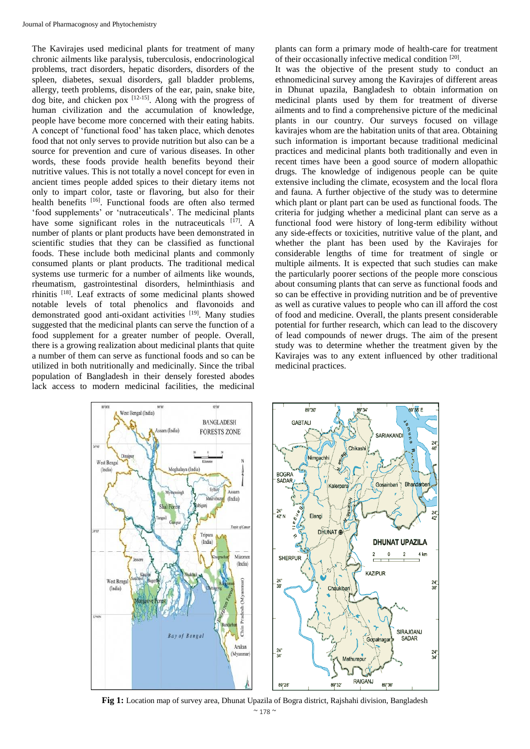The Kavirajes used medicinal plants for treatment of many chronic ailments like paralysis, tuberculosis, endocrinological problems, tract disorders, hepatic disorders, disorders of the spleen, diabetes, sexual disorders, gall bladder problems, allergy, teeth problems, disorders of the ear, pain, snake bite, dog bite, and chicken pox  $[12-15]$ . Along with the progress of human civilization and the accumulation of knowledge, people have become more concerned with their eating habits. A concept of 'functional food' has taken place, which denotes food that not only serves to provide nutrition but also can be a source for prevention and cure of various diseases. In other words, these foods provide health benefits beyond their nutritive values. This is not totally a novel concept for even in ancient times people added spices to their dietary items not only to impart color, taste or flavoring, but also for their health benefits <sup>[16]</sup>. Functional foods are often also termed 'food supplements' or 'nutraceuticals'. The medicinal plants have some significant roles in the nutraceuticals  $[17]$ . A number of plants or plant products have been demonstrated in scientific studies that they can be classified as functional foods. These include both medicinal plants and commonly consumed plants or plant products. The traditional medical systems use turmeric for a number of ailments like wounds, rheumatism, gastrointestinal disorders, helminthiasis and rhinitis [18]. Leaf extracts of some medicinal plants showed notable levels of total phenolics and flavonoids and demonstrated good anti-oxidant activities [19]. Many studies suggested that the medicinal plants can serve the function of a food supplement for a greater number of people. Overall, there is a growing realization about medicinal plants that quite a number of them can serve as functional foods and so can be utilized in both nutritionally and medicinally. Since the tribal population of Bangladesh in their densely forested abodes lack access to modern medicinal facilities, the medicinal

plants can form a primary mode of health-care for treatment of their occasionally infective medical condition [20].

It was the objective of the present study to conduct an ethnomedicinal survey among the Kavirajes of different areas in Dhunat upazila, Bangladesh to obtain information on medicinal plants used by them for treatment of diverse ailments and to find a comprehensive picture of the medicinal plants in our country. Our surveys focused on village kavirajes whom are the habitation units of that area. Obtaining such information is important because traditional medicinal practices and medicinal plants both traditionally and even in recent times have been a good source of modern allopathic drugs. The knowledge of indigenous people can be quite extensive including the climate, ecosystem and the local flora and fauna. A further objective of the study was to determine which plant or plant part can be used as functional foods. The criteria for judging whether a medicinal plant can serve as a functional food were history of long-term edibility without any side-effects or toxicities, nutritive value of the plant, and whether the plant has been used by the Kavirajes for considerable lengths of time for treatment of single or multiple ailments. It is expected that such studies can make the particularly poorer sections of the people more conscious about consuming plants that can serve as functional foods and so can be effective in providing nutrition and be of preventive as well as curative values to people who can ill afford the cost of food and medicine. Overall, the plants present considerable potential for further research, which can lead to the discovery of lead compounds of newer drugs. The aim of the present study was to determine whether the treatment given by the Kavirajes was to any extent influenced by other traditional medicinal practices.



 $~^{\sim}$  178  $~^{\circ}$ **Fig 1:** Location map of survey area, Dhunat Upazila of Bogra district, Rajshahi division, Bangladesh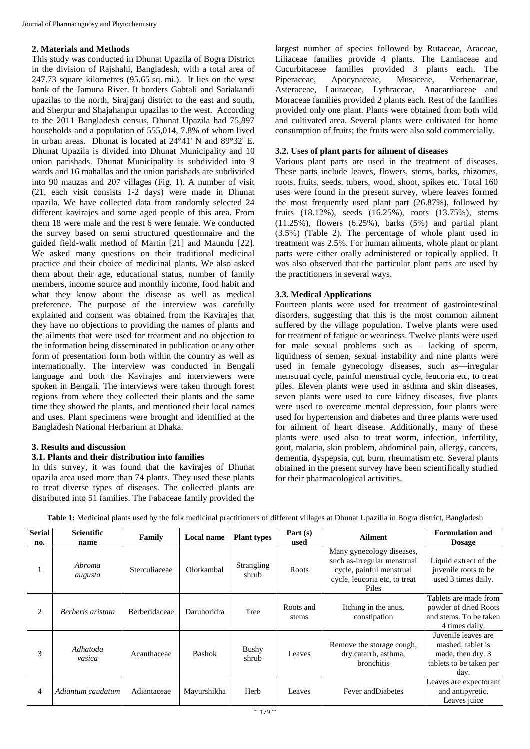# **2. Materials and Methods**

This study was conducted in Dhunat Upazila of Bogra District in the division of Rajshahi, Bangladesh, with a total area of 247.73 square kilometres (95.65 sq. mi.). It lies on the west bank of the Jamuna River. It borders Gabtali and Sariakandi upazilas to the north, Sirajganj district to the east and south, and Sherpur and Shajahanpur upazilas to the west. According to the 2011 Bangladesh census, Dhunat Upazila had 75,897 households and a population of 555,014, 7.8% of whom lived in urban areas. Dhunat is located at 24°41' N and 89°32' E. Dhunat Upazila is divided into Dhunat Municipality and 10 union parishads. Dhunat Municipality is subdivided into 9 wards and 16 mahallas and the union parishads are subdivided into 90 mauzas and 207 villages (Fig. 1). A number of visit (21, each visit consists 1-2 days) were made in Dhunat upazila. We have collected data from randomly selected 24 different kavirajes and some aged people of this area. From them 18 were male and the rest 6 were female. We conducted the survey based on semi structured questionnaire and the guided field-walk method of Martin [21] and Maundu [22]. We asked many questions on their traditional medicinal practice and their choice of medicinal plants. We also asked them about their age, educational status, number of family members, income source and monthly income, food habit and what they know about the disease as well as medical preference. The purpose of the interview was carefully explained and consent was obtained from the Kavirajes that they have no objections to providing the names of plants and the ailments that were used for treatment and no objection to the information being disseminated in publication or any other form of presentation form both within the country as well as internationally. The interview was conducted in Bengali language and both the Kavirajes and interviewers were spoken in Bengali. The interviews were taken through forest regions from where they collected their plants and the same time they showed the plants, and mentioned their local names and uses. Plant specimens were brought and identified at the Bangladesh National Herbarium at Dhaka.

# **3. Results and discussion**

# **3.1. Plants and their distribution into families**

In this survey, it was found that the kavirajes of Dhunat upazila area used more than 74 plants. They used these plants to treat diverse types of diseases. The collected plants are distributed into 51 families. The Fabaceae family provided the

largest number of species followed by Rutaceae, Araceae, Liliaceae families provide 4 plants. The Lamiaceae and Cucurbitaceae families provided 3 plants each. The Piperaceae, Apocynaceae, Musaceae, Verbenaceae, Asteraceae, Lauraceae, Lythraceae, Anacardiaceae and Moraceae families provided 2 plants each. Rest of the families provided only one plant. Plants were obtained from both wild and cultivated area. Several plants were cultivated for home consumption of fruits; the fruits were also sold commercially.

# **3.2. Uses of plant parts for ailment of diseases**

Various plant parts are used in the treatment of diseases. These parts include leaves, flowers, stems, barks, rhizomes, roots, fruits, seeds, tubers, wood, shoot, spikes etc. Total 160 uses were found in the present survey, where leaves formed the most frequently used plant part  $(26.87%)$ , followed by fruits (18.12%), seeds (16.25%), roots (13.75%), stems  $(11.25\%)$ , flowers  $(6.25\%)$ , barks  $(5\%)$  and partial plant (3.5%) (Table 2). The percentage of whole plant used in treatment was 2.5%. For human ailments, whole plant or plant parts were either orally administered or topically applied. It was also observed that the particular plant parts are used by the practitioners in several ways.

# **3.3. Medical Applications**

Fourteen plants were used for treatment of gastrointestinal disorders, suggesting that this is the most common ailment suffered by the village population. Twelve plants were used for treatment of fatigue or weariness. Twelve plants were used for male sexual problems such as – lacking of sperm, liquidness of semen, sexual instability and nine plants were used in female gynecology diseases, such as—irregular menstrual cycle, painful menstrual cycle, leucoria etc, to treat piles. Eleven plants were used in asthma and skin diseases, seven plants were used to cure kidney diseases, five plants were used to overcome mental depression, four plants were used for hypertension and diabetes and three plants were used for ailment of heart disease. Additionally, many of these plants were used also to treat worm, infection, infertility, gout, malaria, skin problem, abdominal pain, allergy, cancers, dementia, dyspepsia, cut, burn, rheumatism etc. Several plants obtained in the present survey have been scientifically studied for their pharmacological activities.

|  |  |  | <b>Table 1:</b> Medicinal plants used by the folk medicinal practitioners of different villages at Dhunat Upazilla in Bogra district. Bangladesh |  |  |
|--|--|--|--------------------------------------------------------------------------------------------------------------------------------------------------|--|--|
|--|--|--|--------------------------------------------------------------------------------------------------------------------------------------------------|--|--|

| <b>Serial</b><br>no. | <b>Scientific</b><br>name | Family        | Local name    | <b>Plant types</b>         | Part $(s)$<br>used | <b>Ailment</b>                                                                                                                 | <b>Formulation and</b><br><b>Dosage</b>                                                          |
|----------------------|---------------------------|---------------|---------------|----------------------------|--------------------|--------------------------------------------------------------------------------------------------------------------------------|--------------------------------------------------------------------------------------------------|
|                      | Abroma<br>augusta         | Sterculiaceae | Olotkambal    | <b>Strangling</b><br>shrub | Roots              | Many gynecology diseases,<br>such as-irregular menstrual<br>cycle, painful menstrual<br>cycle, leucoria etc, to treat<br>Piles | Liquid extract of the<br>juvenile roots to be<br>used 3 times daily.                             |
| 2                    | Berberis aristata         | Berberidaceae | Daruhoridra   | Tree                       | Roots and<br>stems | Itching in the anus,<br>constipation                                                                                           | Tablets are made from<br>powder of dried Roots<br>and stems. To be taken<br>4 times daily.       |
| 3                    | Adhatoda<br>vasica        | Acanthaceae   | <b>Bashok</b> | Bushy<br>shrub             | Leaves             | Remove the storage cough,<br>dry catarrh, asthma,<br>bronchitis                                                                | Juvenile leaves are<br>mashed, tablet is<br>made, then dry. 3<br>tablets to be taken per<br>day. |
| $\overline{4}$       | Adiantum caudatum         | Adiantaceae   | Mayurshikha   | Herb                       | Leaves             | Fever and Diabetes                                                                                                             | Leaves are expectorant<br>and antipyretic.<br>Leaves juice                                       |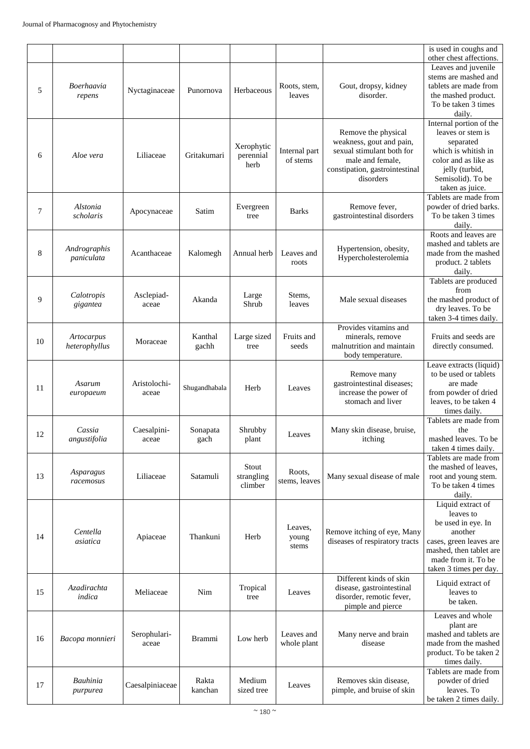|    |                             |                       |                  |                                 |                           |                                                                                                                                                 | is used in coughs and<br>other chest affections.                                                                                                                       |
|----|-----------------------------|-----------------------|------------------|---------------------------------|---------------------------|-------------------------------------------------------------------------------------------------------------------------------------------------|------------------------------------------------------------------------------------------------------------------------------------------------------------------------|
| 5  | Boerhaavia<br>repens        | Nyctaginaceae         | Punornova        | Herbaceous                      | Roots, stem,<br>leaves    | Gout, dropsy, kidney<br>disorder.                                                                                                               | Leaves and juvenile<br>stems are mashed and<br>tablets are made from<br>the mashed product.<br>To be taken 3 times<br>daily.                                           |
| 6  | Aloe vera                   | Liliaceae             | Gritakumari      | Xerophytic<br>perennial<br>herb | Internal part<br>of stems | Remove the physical<br>weakness, gout and pain,<br>sexual stimulant both for<br>male and female.<br>constipation, gastrointestinal<br>disorders | Internal portion of the<br>leaves or stem is<br>separated<br>which is whitish in<br>color and as like as<br>jelly (turbid,<br>Semisolid). To be<br>taken as juice.     |
| 7  | Alstonia<br>scholaris       | Apocynaceae           | Satim            | Evergreen<br>tree               | <b>Barks</b>              | Remove fever,<br>gastrointestinal disorders                                                                                                     | Tablets are made from<br>powder of dried barks.<br>To be taken 3 times<br>daily.                                                                                       |
| 8  | Andrographis<br>paniculata  | Acanthaceae           | Kalomegh         | Annual herb                     | Leaves and<br>roots       | Hypertension, obesity,<br>Hypercholesterolemia                                                                                                  | Roots and leaves are<br>mashed and tablets are<br>made from the mashed<br>product. 2 tablets<br>daily.                                                                 |
| 9  | Calotropis<br>gigantea      | Asclepiad-<br>aceae   | Akanda           | Large<br>Shrub                  | Stems,<br>leaves          | Male sexual diseases                                                                                                                            | Tablets are produced<br>from<br>the mashed product of<br>dry leaves. To be<br>taken 3-4 times daily.                                                                   |
| 10 | Artocarpus<br>heterophyllus | Moraceae              | Kanthal<br>gachh | Large sized<br>tree             | Fruits and<br>seeds       | Provides vitamins and<br>minerals, remove<br>malnutrition and maintain<br>body temperature.                                                     | Fruits and seeds are<br>directly consumed.                                                                                                                             |
| 11 | Asarum<br>europaeum         | Aristolochi-<br>aceae | Shugandhabala    | Herb                            | Leaves                    | Remove many<br>gastrointestinal diseases;<br>increase the power of<br>stomach and liver                                                         | Leave extracts (liquid)<br>to be used or tablets<br>are made<br>from powder of dried<br>leaves, to be taken 4<br>times daily.                                          |
| 12 | Cassia<br>angustifolia      | Caesalpini-<br>aceae  | Sonapata<br>gach | Shrubby<br>plant                | Leaves                    | Many skin disease, bruise,<br>itching                                                                                                           | Tablets are made from<br>the<br>mashed leaves. To be<br>taken 4 times daily.                                                                                           |
| 13 | Asparagus<br>racemosus      | Liliaceae             | Satamuli         | Stout<br>strangling<br>climber  | Roots,<br>stems, leaves   | Many sexual disease of male                                                                                                                     | Tablets are made from<br>the mashed of leaves,<br>root and young stem.<br>To be taken 4 times<br>daily.                                                                |
| 14 | Centella<br>asiatica        | Apiaceae              | Thankuni         | Herb                            | Leaves.<br>young<br>stems | Remove itching of eye, Many<br>diseases of respiratory tracts                                                                                   | Liquid extract of<br>leaves to<br>be used in eye. In<br>another<br>cases, green leaves are<br>mashed, then tablet are<br>made from it. To be<br>taken 3 times per day. |
| 15 | Azadirachta<br>indica       | Meliaceae             | Nim              | Tropical<br>tree                | Leaves                    | Different kinds of skin<br>disease, gastrointestinal<br>disorder, remotic fever,<br>pimple and pierce                                           | Liquid extract of<br>leaves to<br>be taken.                                                                                                                            |
| 16 | Bacopa monnieri             | Serophulari-<br>aceae | <b>Brammi</b>    | Low herb                        | Leaves and<br>whole plant | Many nerve and brain<br>disease                                                                                                                 | Leaves and whole<br>plant are<br>mashed and tablets are<br>made from the mashed<br>product. To be taken 2<br>times daily.                                              |
| 17 | Bauhinia<br>purpurea        | Caesalpiniaceae       | Rakta<br>kanchan | Medium<br>sized tree            | Leaves                    | Removes skin disease,<br>pimple, and bruise of skin                                                                                             | Tablets are made from<br>powder of dried<br>leaves. To<br>be taken 2 times daily.                                                                                      |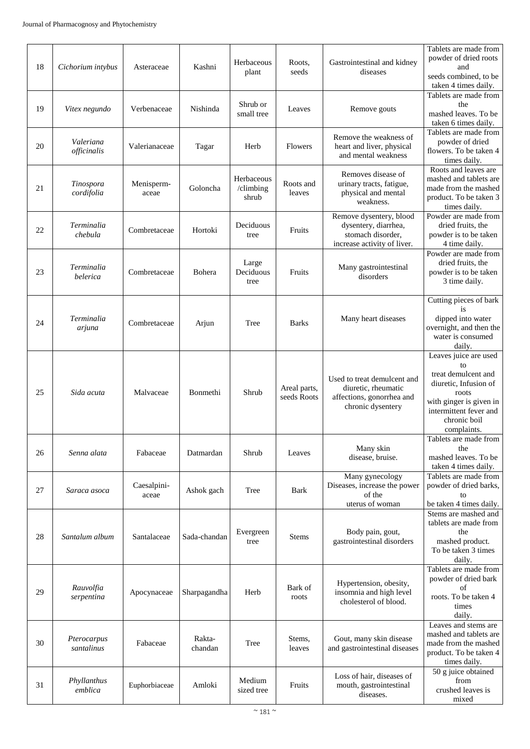| 18 | Cichorium intybus         | Asteraceae           | Kashni            | Herbaceous<br>plant              | Roots,<br>seeds             | Gastrointestinal and kidney<br>diseases                                                              | Tablets are made from<br>powder of dried roots<br>and<br>seeds combined, to be<br>taken 4 times daily.                                                                   |
|----|---------------------------|----------------------|-------------------|----------------------------------|-----------------------------|------------------------------------------------------------------------------------------------------|--------------------------------------------------------------------------------------------------------------------------------------------------------------------------|
| 19 | Vitex negundo             | Verbenaceae          | Nishinda          | Shrub or<br>small tree           | Leaves                      | Remove gouts                                                                                         | Tablets are made from<br>the<br>mashed leaves. To be<br>taken 6 times daily.                                                                                             |
| 20 | Valeriana<br>officinalis  | Valerianaceae        | Tagar             | Herb                             | Flowers                     | Remove the weakness of<br>heart and liver, physical<br>and mental weakness                           | Tablets are made from<br>powder of dried<br>flowers. To be taken 4<br>times daily.                                                                                       |
| 21 | Tinospora<br>cordifolia   | Menisperm-<br>aceae  | Goloncha          | Herbaceous<br>/climbing<br>shrub | Roots and<br>leaves         | Removes disease of<br>urinary tracts, fatigue,<br>physical and mental<br>weakness.                   | Roots and leaves are<br>mashed and tablets are<br>made from the mashed<br>product. To be taken 3<br>times daily.                                                         |
| 22 | Terminalia<br>chebula     | Combretaceae         | Hortoki           | Deciduous<br>tree                | Fruits                      | Remove dysentery, blood<br>dysentery, diarrhea,<br>stomach disorder,<br>increase activity of liver.  | Powder are made from<br>dried fruits, the<br>powder is to be taken<br>4 time daily.                                                                                      |
| 23 | Terminalia<br>belerica    | Combretaceae         | Bohera            | Large<br>Deciduous<br>tree       | Fruits                      | Many gastrointestinal<br>disorders                                                                   | Powder are made from<br>dried fruits, the<br>powder is to be taken<br>3 time daily.                                                                                      |
| 24 | Terminalia<br>arjuna      | Combretaceae         | Arjun             | Tree                             | <b>Barks</b>                | Many heart diseases                                                                                  | Cutting pieces of bark<br>is<br>dipped into water<br>overnight, and then the<br>water is consumed<br>daily.                                                              |
| 25 | Sida acuta                | Malvaceae            | <b>Bonmethi</b>   | Shrub                            | Areal parts,<br>seeds Roots | Used to treat demulcent and<br>diuretic, rheumatic<br>affections, gonorrhea and<br>chronic dysentery | Leaves juice are used<br>to<br>treat demulcent and<br>diuretic, Infusion of<br>roots<br>with ginger is given in<br>intermittent fever and<br>chronic boil<br>complaints. |
| 26 | Senna alata               | Fabaceae             | Datmardan         | Shrub                            | Leaves                      | Many skin<br>disease, bruise.                                                                        | Tablets are made from<br>the<br>mashed leaves. To be<br>taken 4 times daily.                                                                                             |
| 27 | Saraca asoca              | Caesalpini-<br>aceae | Ashok gach        | Tree                             | <b>Bark</b>                 | Many gynecology<br>Diseases, increase the power<br>of the<br>uterus of woman                         | Tablets are made from<br>powder of dried barks,<br>to<br>be taken 4 times daily.                                                                                         |
| 28 | Santalum album            | Santalaceae          | Sada-chandan      | Evergreen<br>tree                | <b>Stems</b>                | Body pain, gout,<br>gastrointestinal disorders                                                       | Stems are mashed and<br>tablets are made from<br>the<br>mashed product.<br>To be taken 3 times<br>daily.                                                                 |
| 29 | Rauvolfia<br>serpentina   | Apocynaceae          | Sharpagandha      | Herb                             | Bark of<br>roots            | Hypertension, obesity,<br>insomnia and high level<br>cholesterol of blood.                           | Tablets are made from<br>powder of dried bark<br>of<br>roots. To be taken 4<br>times<br>daily.                                                                           |
| 30 | Pterocarpus<br>santalinus | Fabaceae             | Rakta-<br>chandan | Tree                             | Stems,<br>leaves            | Gout, many skin disease<br>and gastrointestinal diseases                                             | Leaves and stems are<br>mashed and tablets are<br>made from the mashed<br>product. To be taken 4<br>times daily.                                                         |
| 31 | Phyllanthus<br>emblica    | Euphorbiaceae        | Amloki            | Medium<br>sized tree             | Fruits                      | Loss of hair, diseases of<br>mouth, gastrointestinal<br>diseases.                                    | 50 g juice obtained<br>from<br>crushed leaves is<br>mixed                                                                                                                |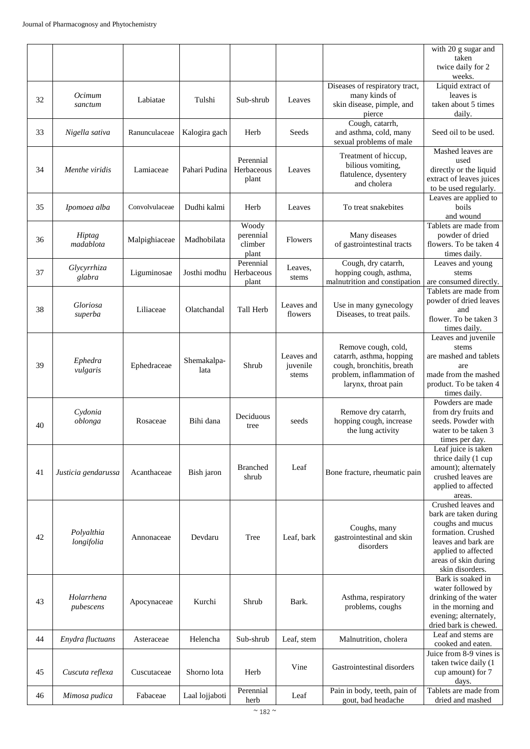|    |                          |                |                |                  |                  |                                                 | with 20 g sugar and<br>taken<br>twice daily for 2<br>weeks. |
|----|--------------------------|----------------|----------------|------------------|------------------|-------------------------------------------------|-------------------------------------------------------------|
|    |                          |                |                |                  |                  | Diseases of respiratory tract,                  | Liquid extract of                                           |
| 32 | Ocimum                   | Labiatae       | Tulshi         | Sub-shrub        | Leaves           | many kinds of                                   | leaves is                                                   |
|    | sanctum                  |                |                |                  |                  | skin disease, pimple, and                       | taken about 5 times                                         |
|    |                          |                |                |                  |                  | pierce<br>Cough, catarrh,                       | daily.                                                      |
| 33 | Nigella sativa           | Ranunculaceae  | Kalogira gach  | Herb             | Seeds            | and asthma, cold, many                          | Seed oil to be used.                                        |
|    |                          |                |                |                  |                  | sexual problems of male                         |                                                             |
|    |                          |                |                | Perennial        |                  | Treatment of hiccup,                            | Mashed leaves are<br>used                                   |
| 34 | Menthe viridis           | Lamiaceae      | Pahari Pudina  | Herbaceous       | Leaves           | bilious vomiting,                               | directly or the liquid                                      |
|    |                          |                |                | plant            |                  | flatulence, dysentery<br>and cholera            | extract of leaves juices                                    |
|    |                          |                |                |                  |                  |                                                 | to be used regularly.                                       |
| 35 | Ipomoea alba             | Convolvulaceae | Dudhi kalmi    | Herb             | Leaves           | To treat snakebites                             | Leaves are applied to<br>boils                              |
|    |                          |                |                |                  |                  |                                                 | and wound                                                   |
|    |                          |                |                | Woody            |                  |                                                 | Tablets are made from                                       |
| 36 | Hiptag                   | Malpighiaceae  | Madhobilata    | perennial        | Flowers          | Many diseases                                   | powder of dried                                             |
|    | madablota                |                |                | climber<br>plant |                  | of gastrointestinal tracts                      | flowers. To be taken 4<br>times daily.                      |
|    |                          |                |                | Perennial        |                  | Cough, dry catarrh,                             | Leaves and young                                            |
| 37 | Glycyrrhiza<br>glabra    | Liguminosae    | Josthi modhu   | Herbaceous       | Leaves,<br>stems | hopping cough, asthma,                          | stems                                                       |
|    |                          |                |                | plant            |                  | malnutrition and constipation                   | are consumed directly.                                      |
|    |                          |                |                |                  |                  |                                                 | Tablets are made from<br>powder of dried leaves             |
| 38 | Gloriosa                 | Liliaceae      | Olatchandal    | Tall Herb        | Leaves and       | Use in many gynecology                          | and                                                         |
|    | superba                  |                |                |                  | flowers          | Diseases, to treat pails.                       | flower. To be taken 3                                       |
|    |                          |                |                |                  |                  |                                                 | times daily.<br>Leaves and juvenile                         |
|    |                          |                |                |                  |                  | Remove cough, cold,                             | stems                                                       |
|    | Ephedra                  |                | Shemakalpa-    |                  | Leaves and       | catarrh, asthma, hopping                        | are mashed and tablets                                      |
| 39 | vulgaris                 | Ephedraceae    | lata           | Shrub            | juvenile         | cough, bronchitis, breath                       | are                                                         |
|    |                          |                |                |                  | stems            | problem, inflammation of<br>larynx, throat pain | made from the mashed<br>product. To be taken 4              |
|    |                          |                |                |                  |                  |                                                 | times daily.                                                |
|    |                          |                |                |                  |                  |                                                 | Powders are made                                            |
|    | Cydonia<br>oblonga       | Rosaceae       | Bihi dana      | Deciduous        | seeds            | Remove dry catarrh,<br>hopping cough, increase  | from dry fruits and<br>seeds. Powder with                   |
| 40 |                          |                |                | tree             |                  | the lung activity                               | water to be taken 3                                         |
|    |                          |                |                |                  |                  |                                                 | times per day.                                              |
|    |                          |                |                |                  |                  |                                                 | Leaf juice is taken<br>thrice daily (1 cup                  |
|    |                          |                |                | <b>Branched</b>  | Leaf             |                                                 | amount); alternately                                        |
| 41 | Justicia gendarussa      | Acanthaceae    | Bish jaron     | shrub            |                  | Bone fracture, rheumatic pain                   | crushed leaves are                                          |
|    |                          |                |                |                  |                  |                                                 | applied to affected                                         |
|    |                          |                |                |                  |                  |                                                 | areas.<br>Crushed leaves and                                |
|    |                          |                |                |                  |                  |                                                 | bark are taken during                                       |
|    |                          |                |                |                  |                  | Coughs, many                                    | coughs and mucus                                            |
| 42 | Polyalthia<br>longifolia | Annonaceae     | Devdaru        | Tree             | Leaf, bark       | gastrointestinal and skin                       | formation. Crushed<br>leaves and bark are                   |
|    |                          |                |                |                  |                  | disorders                                       | applied to affected                                         |
|    |                          |                |                |                  |                  |                                                 | areas of skin during                                        |
|    |                          |                |                |                  |                  |                                                 | skin disorders.                                             |
|    |                          |                |                |                  |                  |                                                 | Bark is soaked in<br>water followed by                      |
|    | Holarrhena               |                |                |                  |                  | Asthma, respiratory                             | drinking of the water                                       |
| 43 | pubescens                | Apocynaceae    | Kurchi         | Shrub            | Bark.            | problems, coughs                                | in the morning and                                          |
|    |                          |                |                |                  |                  |                                                 | evening; alternately,                                       |
|    |                          |                |                |                  |                  |                                                 | dried bark is chewed.<br>Leaf and stems are                 |
| 44 | Enydra fluctuans         | Asteraceae     | Helencha       | Sub-shrub        | Leaf, stem       | Malnutrition, cholera                           | cooked and eaten.                                           |
|    |                          |                |                |                  |                  |                                                 | Juice from 8-9 vines is                                     |
| 45 | Cuscuta reflexa          | Cuscutaceae    | Shorno lota    | Herb             | Vine             | Gastrointestinal disorders                      | taken twice daily (1<br>cup amount) for 7                   |
|    |                          |                |                |                  |                  |                                                 | days.                                                       |
| 46 | Mimosa pudica            | Fabaceae       | Laal lojjaboti | Perennial        | Leaf             | Pain in body, teeth, pain of                    | Tablets are made from                                       |
|    |                          |                |                | herb             |                  | gout, bad headache                              | dried and mashed                                            |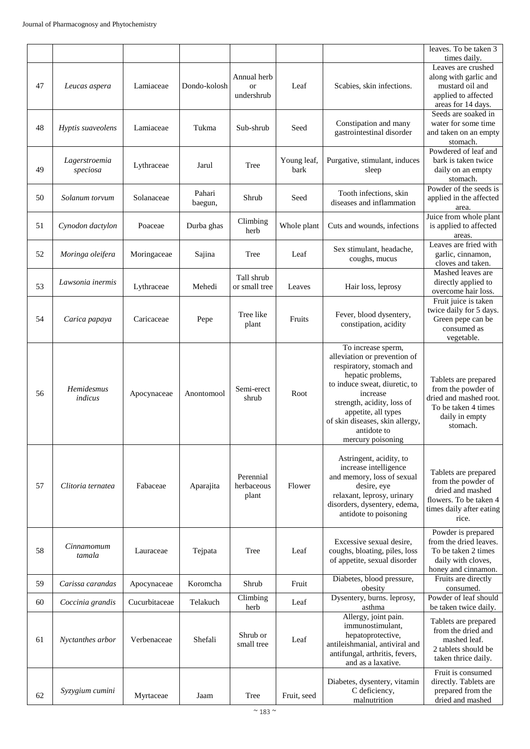|    |                           |               |                   |                                        |                     |                                                                                                                                                                                                                                                                              | leaves. To be taken 3<br>times daily.                                                                                         |
|----|---------------------------|---------------|-------------------|----------------------------------------|---------------------|------------------------------------------------------------------------------------------------------------------------------------------------------------------------------------------------------------------------------------------------------------------------------|-------------------------------------------------------------------------------------------------------------------------------|
| 47 | Leucas aspera             | Lamiaceae     | Dondo-kolosh      | Annual herb<br><b>or</b><br>undershrub | Leaf                | Scabies, skin infections.                                                                                                                                                                                                                                                    | Leaves are crushed<br>along with garlic and<br>mustard oil and<br>applied to affected<br>areas for 14 days.                   |
| 48 | Hyptis suaveolens         | Lamiaceae     | Tukma             | Sub-shrub                              | Seed                | Constipation and many<br>gastrointestinal disorder                                                                                                                                                                                                                           | Seeds are soaked in<br>water for some time<br>and taken on an empty<br>stomach.                                               |
| 49 | Lagerstroemia<br>speciosa | Lythraceae    | Jarul             | Tree                                   | Young leaf,<br>bark | Purgative, stimulant, induces<br>sleep                                                                                                                                                                                                                                       | Powdered of leaf and<br>bark is taken twice<br>daily on an empty<br>stomach.                                                  |
| 50 | Solanum torvum            | Solanaceae    | Pahari<br>baegun, | Shrub                                  | Seed                | Tooth infections, skin<br>diseases and inflammation                                                                                                                                                                                                                          | Powder of the seeds is<br>applied in the affected<br>area.                                                                    |
| 51 | Cynodon dactylon          | Poaceae       | Durba ghas        | Climbing<br>herb                       | Whole plant         | Cuts and wounds, infections                                                                                                                                                                                                                                                  | Juice from whole plant<br>is applied to affected<br>areas.                                                                    |
| 52 | Moringa oleifera          | Moringaceae   | Sajina            | Tree                                   | Leaf                | Sex stimulant, headache,<br>coughs, mucus                                                                                                                                                                                                                                    | Leaves are fried with<br>garlic, cinnamon,<br>cloves and taken.                                                               |
| 53 | Lawsonia inermis          | Lythraceae    | Mehedi            | Tall shrub<br>or small tree            | Leaves              | Hair loss, leprosy                                                                                                                                                                                                                                                           | Mashed leaves are<br>directly applied to<br>overcome hair loss.                                                               |
| 54 | Carica papaya             | Caricaceae    | Pepe              | Tree like<br>plant                     | Fruits              | Fever, blood dysentery,<br>constipation, acidity                                                                                                                                                                                                                             | Fruit juice is taken<br>twice daily for 5 days.<br>Green pepe can be<br>consumed as<br>vegetable.                             |
| 56 | Hemidesmus<br>indicus     | Apocynaceae   | Anontomool        | Semi-erect<br>shrub                    | Root                | To increase sperm,<br>alleviation or prevention of<br>respiratory, stomach and<br>hepatic problems,<br>to induce sweat, diuretic, to<br>increase<br>strength, acidity, loss of<br>appetite, all types<br>of skin diseases, skin allergy,<br>antidote to<br>mercury poisoning | Tablets are prepared<br>from the powder of<br>dried and mashed root.<br>To be taken 4 times<br>daily in empty<br>stomach.     |
| 57 | Clitoria ternatea         | Fabaceae      | Aparajita         | Perennial<br>herbaceous<br>plant       | Flower              | Astringent, acidity, to<br>increase intelligence<br>and memory, loss of sexual<br>desire, eye<br>relaxant, leprosy, urinary<br>disorders, dysentery, edema,<br>antidote to poisoning                                                                                         | Tablets are prepared<br>from the powder of<br>dried and mashed<br>flowers. To be taken 4<br>times daily after eating<br>rice. |
| 58 | Cinnamomum<br>tamala      | Lauraceae     | Tejpata           | Tree                                   | Leaf                | Excessive sexual desire.<br>coughs, bloating, piles, loss<br>of appetite, sexual disorder                                                                                                                                                                                    | Powder is prepared<br>from the dried leaves.<br>To be taken 2 times<br>daily with cloves,<br>honey and cinnamon.              |
| 59 | Carissa carandas          | Apocynaceae   | Koromcha          | Shrub                                  | Fruit               | Diabetes, blood pressure,<br>obesity                                                                                                                                                                                                                                         | Fruits are directly<br>consumed.                                                                                              |
| 60 | Coccinia grandis          | Cucurbitaceae | Telakuch          | Climbing<br>herb                       | Leaf                | Dysentery, burns. leprosy,<br>asthma                                                                                                                                                                                                                                         | Powder of leaf should<br>be taken twice daily.                                                                                |
| 61 | Nyctanthes arbor          | Verbenaceae   | Shefali           | Shrub or<br>small tree                 | Leaf                | Allergy, joint pain.<br>immunostimulant,<br>hepatoprotective,<br>antileishmanial, antiviral and<br>antifungal, arthritis, fevers,<br>and as a laxative.                                                                                                                      | Tablets are prepared<br>from the dried and<br>mashed leaf.<br>2 tablets should be<br>taken thrice daily.                      |
| 62 | Syzygium cumini           | Myrtaceae     | Jaam              | Tree                                   | Fruit, seed         | Diabetes, dysentery, vitamin<br>C deficiency,<br>malnutrition                                                                                                                                                                                                                | Fruit is consumed<br>directly. Tablets are<br>prepared from the<br>dried and mashed                                           |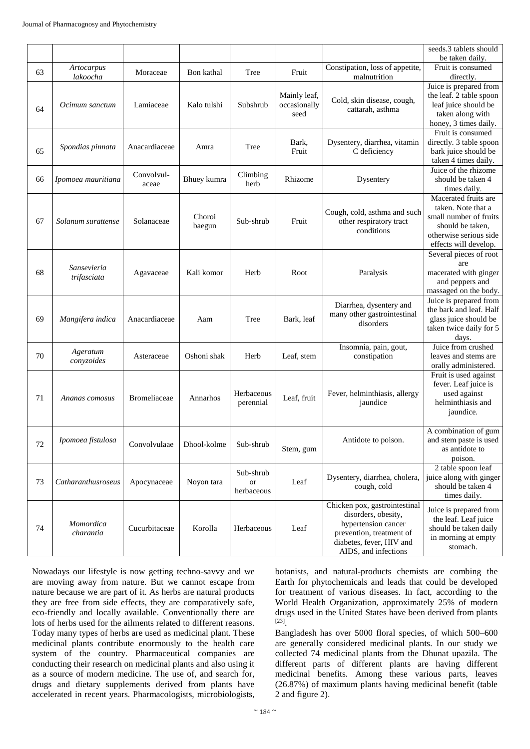|    |                            |                     |                  |                                        |                                      |                                                                                                                                                             | seeds.3 tablets should                                                                                                                      |
|----|----------------------------|---------------------|------------------|----------------------------------------|--------------------------------------|-------------------------------------------------------------------------------------------------------------------------------------------------------------|---------------------------------------------------------------------------------------------------------------------------------------------|
|    |                            |                     |                  |                                        |                                      |                                                                                                                                                             | be taken daily.                                                                                                                             |
| 63 | Artocarpus<br>lakoocha     | Moraceae            | Bon kathal       | Tree                                   | Fruit                                | Constipation, loss of appetite,<br>malnutrition                                                                                                             | Fruit is consumed<br>directly.                                                                                                              |
| 64 | Ocimum sanctum             | Lamiaceae           | Kalo tulshi      | Subshrub                               | Mainly leaf,<br>occasionally<br>seed | Cold, skin disease, cough,<br>cattarah, asthma                                                                                                              | Juice is prepared from<br>the leaf. 2 table spoon<br>leaf juice should be<br>taken along with<br>honey, 3 times daily.                      |
| 65 | Spondias pinnata           | Anacardiaceae       | Amra             | Tree                                   | Bark,<br>Fruit                       | Dysentery, diarrhea, vitamin<br>C deficiency                                                                                                                | Fruit is consumed<br>directly. 3 table spoon<br>bark juice should be<br>taken 4 times daily.                                                |
| 66 | Ipomoea mauritiana         | Convolvul-<br>aceae | Bhuey kumra      | Climbing<br>herb                       | Rhizome                              | Dysentery                                                                                                                                                   | Juice of the rhizome<br>should be taken 4<br>times daily.                                                                                   |
| 67 | Solanum surattense         | Solanaceae          | Choroi<br>baegun | Sub-shrub                              | Fruit                                | Cough, cold, asthma and such<br>other respiratory tract<br>conditions                                                                                       | Macerated fruits are<br>taken. Note that a<br>small number of fruits<br>should be taken,<br>otherwise serious side<br>effects will develop. |
| 68 | Sansevieria<br>trifasciata | Agavaceae           | Kali komor       | Herb                                   | Root                                 | Paralysis                                                                                                                                                   | Several pieces of root<br>are<br>macerated with ginger<br>and peppers and<br>massaged on the body.                                          |
| 69 | Mangifera indica           | Anacardiaceae       | Aam              | Tree                                   | Bark, leaf                           | Diarrhea, dysentery and<br>many other gastrointestinal<br>disorders                                                                                         | Juice is prepared from<br>the bark and leaf. Half<br>glass juice should be<br>taken twice daily for 5<br>days.                              |
| 70 | Ageratum<br>conyzoides     | Asteraceae          | Oshoni shak      | Herb                                   | Leaf, stem                           | Insomnia, pain, gout,<br>constipation                                                                                                                       | Juice from crushed<br>leaves and stems are<br>orally administered.                                                                          |
| 71 | Ananas comosus             | Bromeliaceae        | Annarhos         | Herbaceous<br>perennial                | Leaf, fruit                          | Fever, helminthiasis, allergy<br>jaundice                                                                                                                   | Fruit is used against<br>fever. Leaf juice is<br>used against<br>helminthiasis and<br>jaundice.                                             |
| 72 | Ipomoea fistulosa          | Convolvulaae        | Dhool-kolme      | Sub-shrub                              | Stem, gum                            | Antidote to poison.                                                                                                                                         | A combination of gum<br>and stem paste is used<br>as antidote to<br>poison.                                                                 |
| 73 | Catharanthusroseus         | Apocynaceae         | Noyon tara       | Sub-shrub<br>$\hbox{or}$<br>herbaceous | Leaf                                 | Dysentery, diarrhea, cholera,<br>cough, cold                                                                                                                | 2 table spoon leaf<br>juice along with ginger<br>should be taken 4<br>times daily.                                                          |
| 74 | Momordica<br>charantia     | Cucurbitaceae       | Korolla          | Herbaceous                             | Leaf                                 | Chicken pox, gastrointestinal<br>disorders, obesity,<br>hypertension cancer<br>prevention, treatment of<br>diabetes, fever, HIV and<br>AIDS, and infections | Juice is prepared from<br>the leaf. Leaf juice<br>should be taken daily<br>in morning at empty<br>stomach.                                  |

Nowadays our lifestyle is now getting techno-savvy and we are moving away from nature. But we cannot escape from nature because we are part of it. As herbs are natural products they are free from side effects, they are comparatively safe, eco-friendly and locally available. Conventionally there are lots of herbs used for the ailments related to different reasons. Today many types of herbs are used as medicinal plant. These medicinal plants contribute enormously to the health care system of the country. Pharmaceutical companies are conducting their research on medicinal plants and also using it as a source of modern medicine. The use of, and search for, drugs and dietary supplements derived from plants have accelerated in recent years. Pharmacologists, microbiologists,

botanists, and natural-products chemists are combing the Earth for phytochemicals and leads that could be developed for treatment of various diseases. In fact, according to the World Health Organization, approximately 25% of modern drugs used in the United States have been derived from plants [23] .

Bangladesh has over 5000 floral species, of which 500–600 are generally considered medicinal plants. In our study we collected 74 medicinal plants from the Dhunat upazila. The different parts of different plants are having different medicinal benefits. Among these various parts, leaves (26.87%) of maximum plants having medicinal benefit (table 2 and figure 2).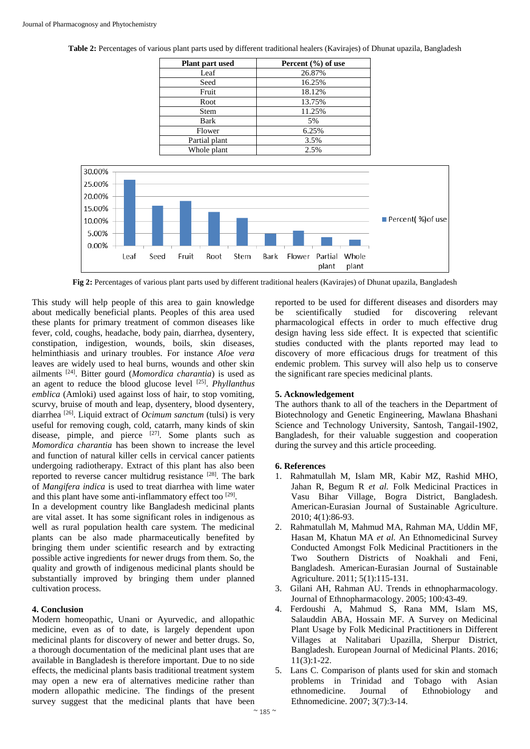| <b>Plant part used</b> | Percent $(\% )$ of use |  |  |  |  |
|------------------------|------------------------|--|--|--|--|
| Leaf                   | 26.87%                 |  |  |  |  |
| Seed                   | 16.25%                 |  |  |  |  |
| Fruit                  | 18.12%                 |  |  |  |  |
| Root                   | 13.75%                 |  |  |  |  |
| <b>Stem</b>            | 11.25%                 |  |  |  |  |
| Bark                   | 5%                     |  |  |  |  |
| Flower                 | 6.25%                  |  |  |  |  |
| Partial plant          | 3.5%                   |  |  |  |  |
| Whole plant            | 2.5%                   |  |  |  |  |

**Table 2:** Percentages of various plant parts used by different traditional healers (Kavirajes) of Dhunat upazila, Bangladesh



**Fig 2:** Percentages of various plant parts used by different traditional healers (Kavirajes) of Dhunat upazila, Bangladesh

This study will help people of this area to gain knowledge about medically beneficial plants. Peoples of this area used these plants for primary treatment of common diseases like fever, cold, coughs, headache, body pain, diarrhea, dysentery, constipation, indigestion, wounds, boils, skin diseases, helminthiasis and urinary troubles. For instance *Aloe vera* leaves are widely used to heal burns, wounds and other skin ailments [24]. Bitter gourd (*Momordica charantia*) is used as an agent to reduce the blood glucose level [25] . *Phyllanthus emblica* (Amloki) used against loss of hair, to stop vomiting, scurvy, bruise of mouth and leap, dysentery, blood dysentery, diarrhea [26]. Liquid extract of *Ocimum sanctum* (tulsi) is very useful for removing cough, cold, catarrh, many kinds of skin disease, pimple, and pierce [27]. Some plants such as *Momordica charantia* has been shown to increase the level and function of natural killer cells in cervical cancer patients undergoing radiotherapy. Extract of this plant has also been reported to reverse cancer multidrug resistance [28]. The bark of *Mangifera indica* is used to treat diarrhea with lime water and this plant have some anti-inflammatory effect too<sup>[29]</sup>.

In a development country like Bangladesh medicinal plants are vital asset. It has some significant roles in indigenous as well as rural population health care system. The medicinal plants can be also made pharmaceutically benefited by bringing them under scientific research and by extracting possible active ingredients for newer drugs from them. So, the quality and growth of indigenous medicinal plants should be substantially improved by bringing them under planned cultivation process.

# **4. Conclusion**

Modern homeopathic, Unani or Ayurvedic, and allopathic medicine, even as of to date, is largely dependent upon medicinal plants for discovery of newer and better drugs. So, a thorough documentation of the medicinal plant uses that are available in Bangladesh is therefore important. Due to no side effects, the medicinal plants basis traditional treatment system may open a new era of alternatives medicine rather than modern allopathic medicine. The findings of the present survey suggest that the medicinal plants that have been

reported to be used for different diseases and disorders may be scientifically studied for discovering relevant pharmacological effects in order to much effective drug design having less side effect. It is expected that scientific studies conducted with the plants reported may lead to discovery of more efficacious drugs for treatment of this endemic problem. This survey will also help us to conserve the significant rare species medicinal plants.

### **5. Acknowledgement**

The authors thank to all of the teachers in the Department of Biotechnology and Genetic Engineering, Mawlana Bhashani Science and Technology University, Santosh, Tangail-1902, Bangladesh, for their valuable suggestion and cooperation during the survey and this article proceeding.

### **6. References**

- 1. Rahmatullah M, Islam MR, Kabir MZ, Rashid MHO, Jahan R, Begum R *et al.* Folk Medicinal Practices in Vasu Bihar Village, Bogra District, Bangladesh. American-Eurasian Journal of Sustainable Agriculture. 2010; 4(1):86-93.
- 2. Rahmatullah M, Mahmud MA, Rahman MA, Uddin MF, Hasan M, Khatun MA *et al.* An Ethnomedicinal Survey Conducted Amongst Folk Medicinal Practitioners in the Two Southern Districts of Noakhali and Feni, Bangladesh. American-Eurasian Journal of Sustainable Agriculture. 2011; 5(1):115-131.
- 3. Gilani AH, Rahman AU. Trends in ethnopharmacology. Journal of Ethnopharmacology. 2005; 100:43-49.
- 4. Ferdoushi A, Mahmud S, Rana MM, Islam MS, Salauddin ABA, Hossain MF. A Survey on Medicinal Plant Usage by Folk Medicinal Practitioners in Different Villages at Nalitabari Upazilla, Sherpur District, Bangladesh. European Journal of Medicinal Plants. 2016;  $11(3):1-22.$
- 5. Lans C. Comparison of plants used for skin and stomach problems in Trinidad and Tobago with Asian ethnomedicine. Journal of Ethnobiology and Ethnomedicine. 2007; 3(7):3-14.